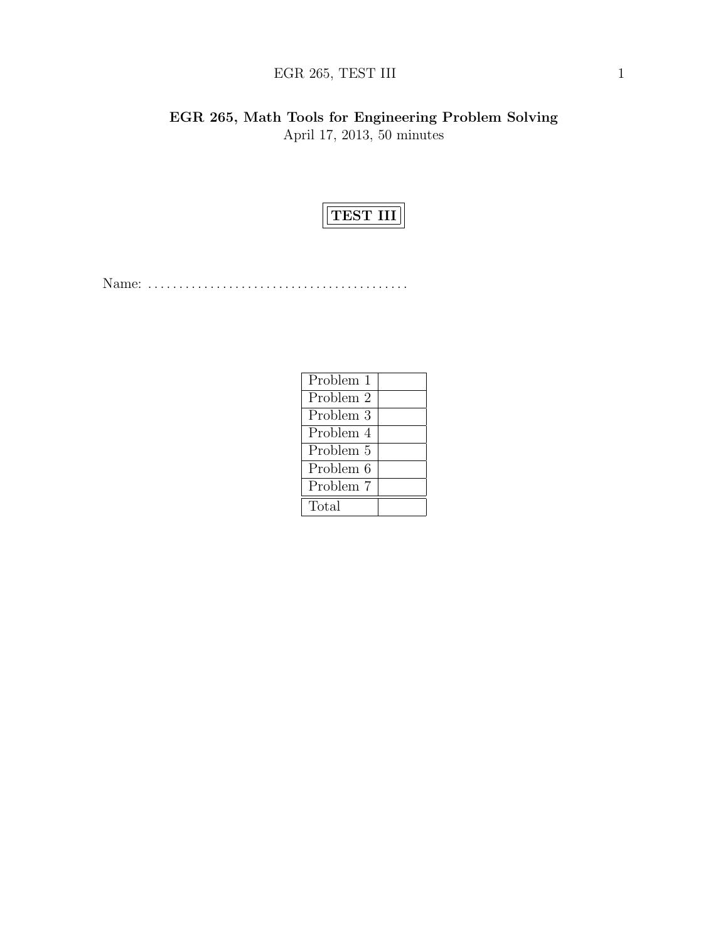# $\rm{EGR}$  265, TEST III 1

EGR 265, Math Tools for Engineering Problem Solving April 17, 2013, 50 minutes



Name: . . . . . . . . . . . . . . . . . . . . . . . . . . . . . . . . . . . . . . . . . .

| Problem 1 |  |
|-----------|--|
| Problem 2 |  |
| Problem 3 |  |
| Problem 4 |  |
| Problem 5 |  |
| Problem 6 |  |
| Problem 7 |  |
| Total     |  |
|           |  |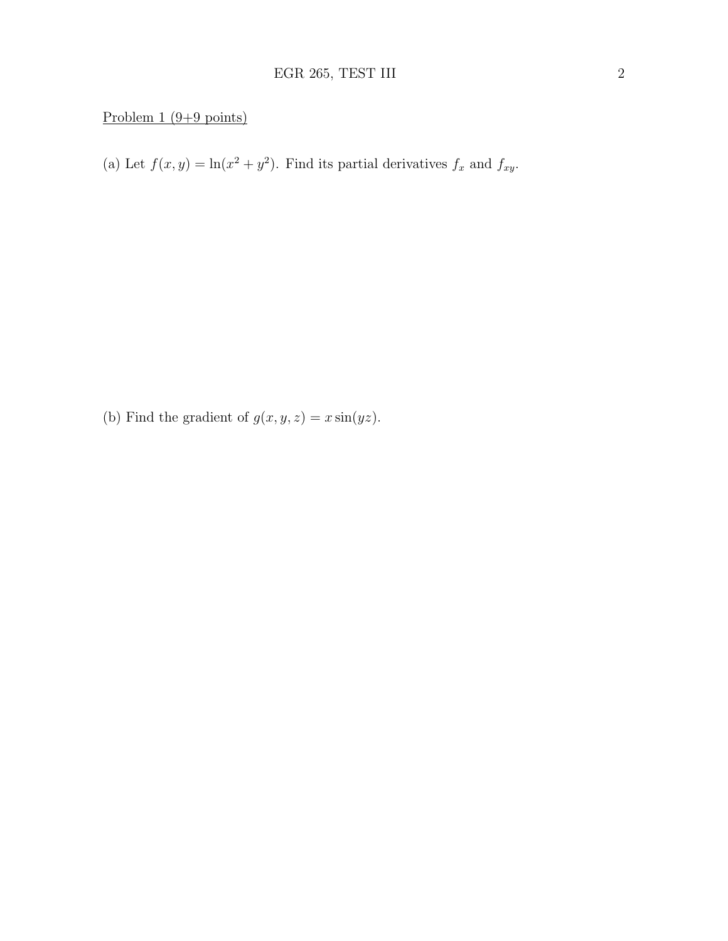## Problem  $1 (9+9 \text{ points})$

(a) Let  $f(x, y) = \ln(x^2 + y^2)$ . Find its partial derivatives  $f_x$  and  $f_{xy}$ .

(b) Find the gradient of  $g(x, y, z) = x \sin(yz)$ .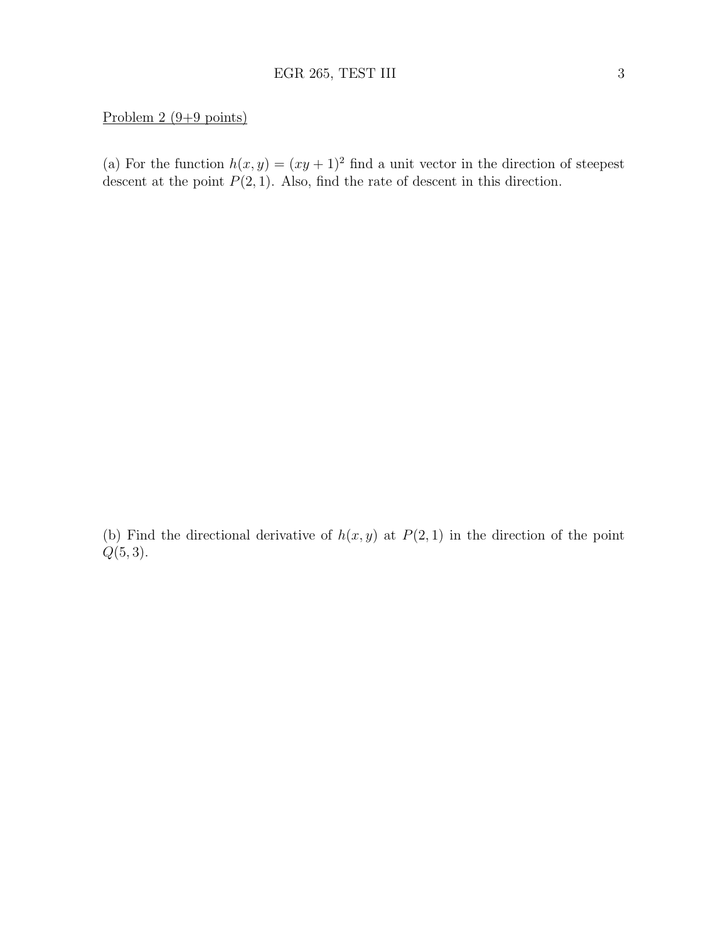### Problem 2 (9+9 points)

(a) For the function  $h(x, y) = (xy + 1)^2$  find a unit vector in the direction of steepest descent at the point  $P(2, 1)$ . Also, find the rate of descent in this direction.

(b) Find the directional derivative of  $h(x, y)$  at  $P(2, 1)$  in the direction of the point  $Q(5, 3)$ .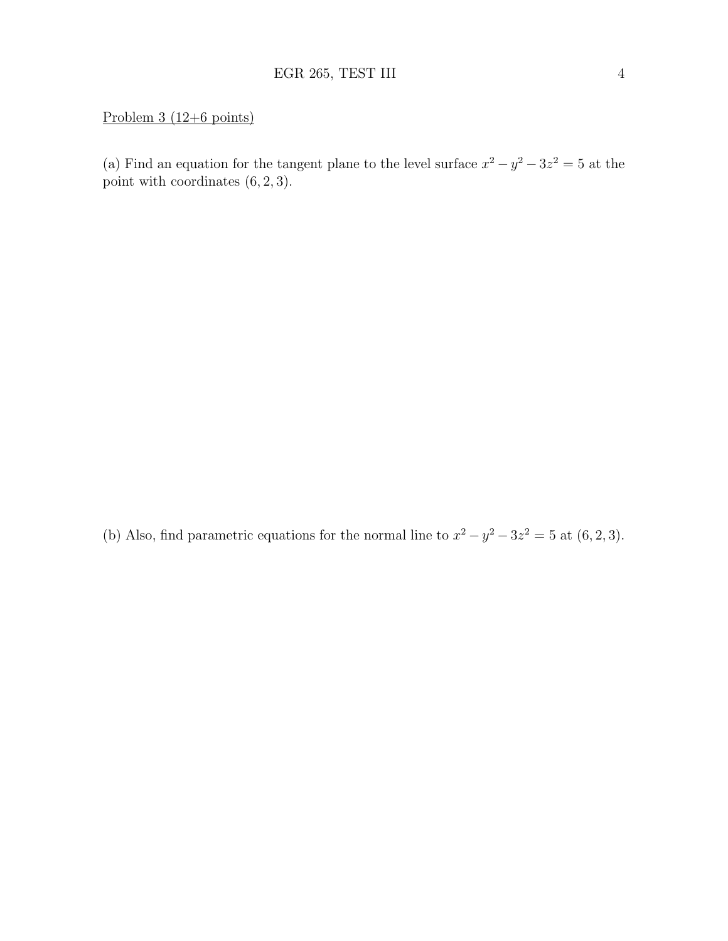## Problem 3 (12+6 points)

(a) Find an equation for the tangent plane to the level surface  $x^2 - y^2 - 3z^2 = 5$  at the point with coordinates (6, 2, 3).

(b) Also, find parametric equations for the normal line to  $x^2 - y^2 - 3z^2 = 5$  at  $(6, 2, 3)$ .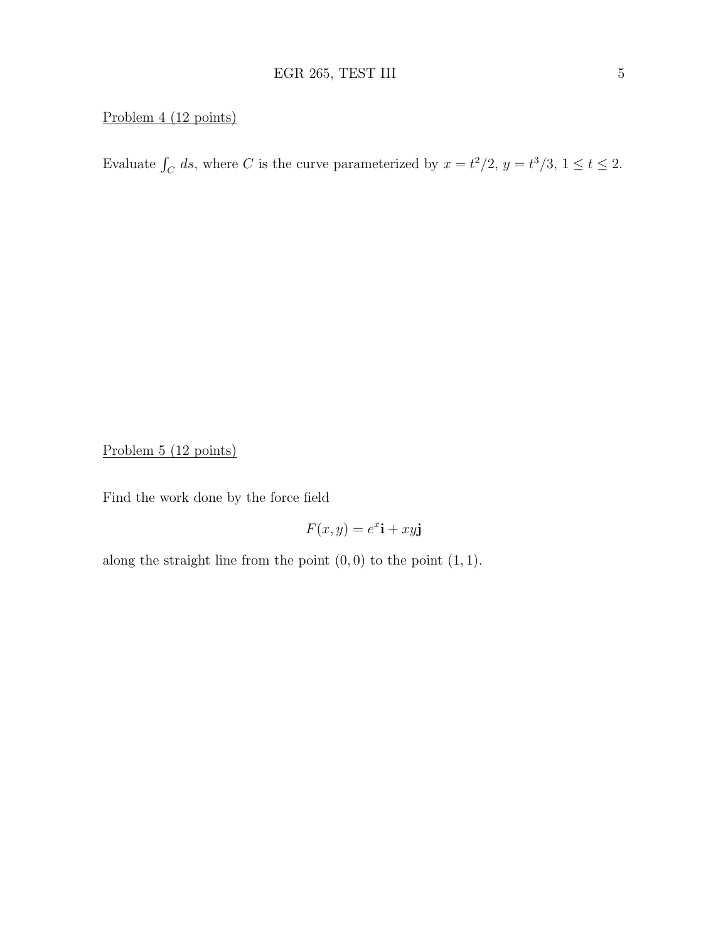# Problem 4 (12 points)

Evaluate  $\int_C ds$ , where C is the curve parameterized by  $x = t^2/2$ ,  $y = t^3/3$ ,  $1 \le t \le 2$ .

Problem 5 (12 points)

Find the work done by the force field

$$
F(x, y) = e^x \mathbf{i} + xy \mathbf{j}
$$

along the straight line from the point  $(0, 0)$  to the point  $(1, 1)$ .